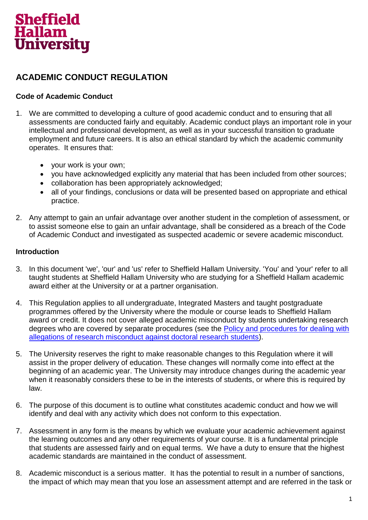

# **ACADEMIC CONDUCT REGULATION**

## **Code of Academic Conduct**

- 1. We are committed to developing a culture of good academic conduct and to ensuring that all assessments are conducted fairly and equitably. Academic conduct plays an important role in your intellectual and professional development, as well as in your successful transition to graduate employment and future careers. It is also an ethical standard by which the academic community operates. It ensures that:
	- your work is your own;
	- you have acknowledged explicitly any material that has been included from other sources;
	- collaboration has been appropriately acknowledged;
	- all of your findings, conclusions or data will be presented based on appropriate and ethical practice.
- 2. Any attempt to gain an unfair advantage over another student in the completion of assessment, or to assist someone else to gain an unfair advantage, shall be considered as a breach of the Code of Academic Conduct and investigated as suspected academic or severe academic misconduct.

#### **Introduction**

- 3. In this document 'we', 'our' and 'us' refer to Sheffield Hallam University. 'You' and 'your' refer to all taught students at Sheffield Hallam University who are studying for a Sheffield Hallam academic award either at the University or at a partner organisation.
- 4. This Regulation applies to all undergraduate, Integrated Masters and taught postgraduate programmes offered by the University where the module or course leads to Sheffield Hallam award or credit. It does not cover alleged academic misconduct by students undertaking research degrees who are covered by separate procedures (see the [Policy and procedures for dealing with](https://students.shu.ac.uk/regulations/research_degrees/index.html)  [allegations of research misconduct against doctoral research students\)](https://students.shu.ac.uk/regulations/research_degrees/index.html).
- 5. The University reserves the right to make reasonable changes to this Regulation where it will assist in the proper delivery of education. These changes will normally come into effect at the beginning of an academic year. The University may introduce changes during the academic year when it reasonably considers these to be in the interests of students, or where this is required by law.
- 6. The purpose of this document is to outline what constitutes academic conduct and how we will identify and deal with any activity which does not conform to this expectation.
- 7. Assessment in any form is the means by which we evaluate your academic achievement against the learning outcomes and any other requirements of your course. It is a fundamental principle that students are assessed fairly and on equal terms. We have a duty to ensure that the highest academic standards are maintained in the conduct of assessment.
- 8. Academic misconduct is a serious matter. It has the potential to result in a number of sanctions, the impact of which may mean that you lose an assessment attempt and are referred in the task or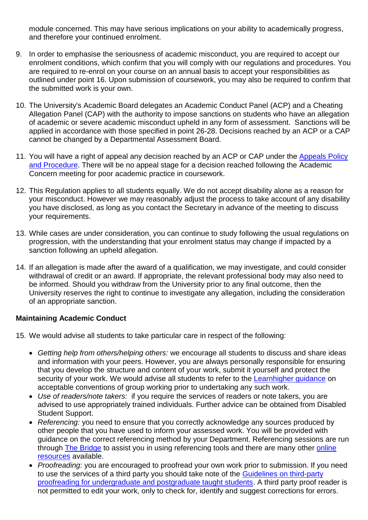module concerned. This may have serious implications on your ability to academically progress, and therefore your continued enrolment.

- 9. In order to emphasise the seriousness of academic misconduct, you are required to accept our enrolment conditions, which confirm that you will comply with our regulations and procedures. You are required to re-enrol on your course on an annual basis to accept your responsibilities as outlined under point 16. Upon submission of coursework, you may also be required to confirm that the submitted work is your own.
- 10. The University's Academic Board delegates an Academic Conduct Panel (ACP) and a Cheating Allegation Panel (CAP) with the authority to impose sanctions on students who have an allegation of academic or severe academic misconduct upheld in any form of assessment. Sanctions will be applied in accordance with those specified in point 26-28. Decisions reached by an ACP or a CAP cannot be changed by a Departmental Assessment Board.
- 11. You will have a right of appeal any decision reached by an ACP or CAP under the Appeals Policy [and Procedure.](https://students.shu.ac.uk/regulations/appeals_and_complaints/index.html) There will be no appeal stage for a decision reached following the Academic Concern meeting for poor academic practice in coursework.
- 12. This Regulation applies to all students equally. We do not accept disability alone as a reason for your misconduct. However we may reasonably adjust the process to take account of any disability you have disclosed, as long as you contact the Secretary in advance of the meeting to discuss your requirements.
- 13. While cases are under consideration, you can continue to study following the usual regulations on progression, with the understanding that your enrolment status may change if impacted by a sanction following an upheld allegation.
- 14. If an allegation is made after the award of a qualification, we may investigate, and could consider withdrawal of credit or an award. If appropriate, the relevant professional body may also need to be informed. Should you withdraw from the University prior to any final outcome, then the University reserves the right to continue to investigate any allegation, including the consideration of an appropriate sanction.

### **Maintaining Academic Conduct**

- 15. We would advise all students to take particular care in respect of the following:
	- *Getting help from others/helping others:* we encourage all students to discuss and share ideas and information with your peers. However, you are always personally responsible for ensuring that you develop the structure and content of your work, submit it yourself and protect the security of your work. We would advise all students to refer to the **Learnhigher guidance** on acceptable conventions of group working prior to undertaking any such work.
	- *Use of readers/note takers:* if you require the services of readers or note takers, you are advised to use appropriately trained individuals. Further advice can be obtained from Disabled Student Support.
	- *Referencing:* you need to ensure that you correctly acknowledge any sources produced by other people that you have used to inform your assessed work. You will be provided with guidance on the correct referencing method by your Department. Referencing sessions are run through [The Bridge](https://blogs.shu.ac.uk/thebridge/?doing_wp_cron=1481789012.3912498950958251953125) to assist you in using referencing tools and there are many other online [resources](http://libguides.shu.ac.uk/referencing) available.
	- *Proofreading:* you are encouraged to proofread your own work prior to submission. If you need to use the services of a third party you should take note of the [Guidelines on third-party](file://hallam.shu.ac.uk/https:/students.shu.ac.uk/regulations/exams_and_coursework/index.html)  [proofreading for undergraduate and postgraduate taught students.](file://hallam.shu.ac.uk/https:/students.shu.ac.uk/regulations/exams_and_coursework/index.html) A third party proof reader is not permitted to edit your work, only to check for, identify and suggest corrections for errors.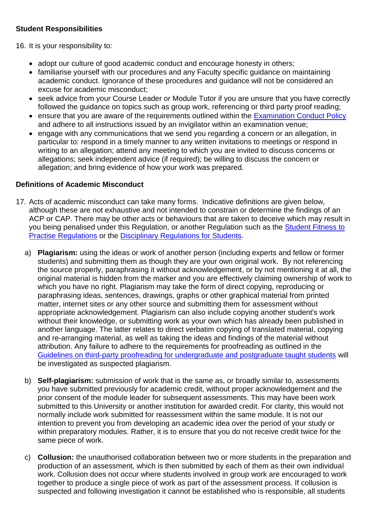# **Student Responsibilities**

16. It is your responsibility to:

- adopt our culture of good academic conduct and encourage honesty in others;
- familiarise yourself with our procedures and any Faculty specific quidance on maintaining academic conduct. Ignorance of these procedures and guidance will not be considered an excuse for academic misconduct;
- seek advice from your Course Leader or Module Tutor if you are unsure that you have correctly followed the guidance on topics such as group work, referencing or third party proof reading;
- ensure that you are aware of the requirements outlined within the [Examination Conduct Policy](https://students.shu.ac.uk/regulations/exams_and_coursework/index.html) and adhere to all instructions issued by an invigilator within an examination venue;
- engage with any communications that we send you regarding a concern or an allegation, in particular to: respond in a timely manner to any written invitations to meetings or respond in writing to an allegation; attend any meeting to which you are invited to discuss concerns or allegations; seek independent advice (if required); be willing to discuss the concern or allegation; and bring evidence of how your work was prepared.

## **Definitions of Academic Misconduct**

- 17. Acts of academic misconduct can take many forms. Indicative definitions are given below, although these are not exhaustive and not intended to constrain or determine the findings of an ACP or CAP. There may be other acts or behaviours that are taken to deceive which may result in you being penalised under this Regulation, or another Regulation such as the [Student Fitness to](https://students.shu.ac.uk/regulations/fitness_to_practise/index.html)  [Practise Regulations](https://students.shu.ac.uk/regulations/fitness_to_practise/index.html) or the [Disciplinary Regulations for Students.](https://students.shu.ac.uk/regulations/conduct_discipline/index.html)
	- a) **Plagiarism:** using the ideas or work of another person (including experts and fellow or former students) and submitting them as though they are your own original work. By not referencing the source properly, paraphrasing it without acknowledgement, or by not mentioning it at all, the original material is hidden from the marker and you are effectively claiming ownership of work to which you have no right. Plagiarism may take the form of direct copying, reproducing or paraphrasing ideas, sentences, drawings, graphs or other graphical material from printed matter, internet sites or any other source and submitting them for assessment without appropriate acknowledgement. Plagiarism can also include copying another student's work without their knowledge, or submitting work as your own which has already been published in another language. The latter relates to direct verbatim copying of translated material, copying and re-arranging material, as well as taking the ideas and findings of the material without attribution. Any failure to adhere to the requirements for proofreading as outlined in the [Guidelines on third-party proofreading for undergraduate and postgraduate taught students](https://students.shu.ac.uk/regulations/exams_and_coursework/index.html) will be investigated as suspected plagiarism.
	- b) **Self-plagiarism:** submission of work that is the same as, or broadly similar to, assessments you have submitted previously for academic credit, without proper acknowledgement and the prior consent of the module leader for subsequent assessments. This may have been work submitted to this University or another institution for awarded credit. For clarity, this would not normally include work submitted for reassessment within the same module. It is not our intention to prevent you from developing an academic idea over the period of your study or within preparatory modules. Rather, it is to ensure that you do not receive credit twice for the same piece of work.
	- c) **Collusion:** the unauthorised collaboration between two or more students in the preparation and production of an assessment, which is then submitted by each of them as their own individual work. Collusion does not occur where students involved in group work are encouraged to work together to produce a single piece of work as part of the assessment process. If collusion is suspected and following investigation it cannot be established who is responsible, all students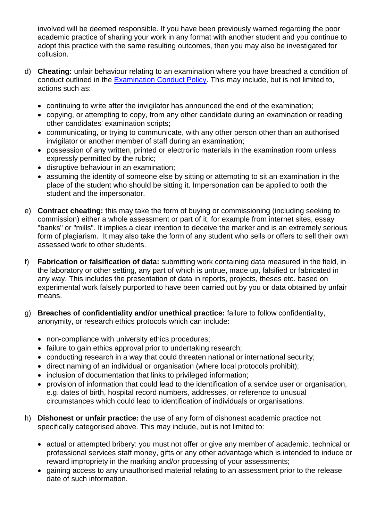involved will be deemed responsible. If you have been previously warned regarding the poor academic practice of sharing your work in any format with another student and you continue to adopt this practice with the same resulting outcomes, then you may also be investigated for collusion.

- d) **Cheating:** unfair behaviour relating to an examination where you have breached a condition of conduct outlined in the [Examination Conduct Policy.](https://students.shu.ac.uk/regulations/exams_and_coursework/index.html) This may include, but is not limited to, actions such as:
	- continuing to write after the invigilator has announced the end of the examination;
	- copying, or attempting to copy, from any other candidate during an examination or reading other candidates' examination scripts;
	- communicating, or trying to communicate, with any other person other than an authorised invigilator or another member of staff during an examination;
	- possession of any written, printed or electronic materials in the examination room unless expressly permitted by the rubric;
	- disruptive behaviour in an examination;
	- assuming the identity of someone else by sitting or attempting to sit an examination in the place of the student who should be sitting it. Impersonation can be applied to both the student and the impersonator.
- e) **Contract cheating:** this may take the form of buying or commissioning (including seeking to commission) either a whole assessment or part of it, for example from internet sites, essay "banks" or "mills". It implies a clear intention to deceive the marker and is an extremely serious form of plagiarism. It may also take the form of any student who sells or offers to sell their own assessed work to other students.
- f) **Fabrication or falsification of data:** submitting work containing data measured in the field, in the laboratory or other setting, any part of which is untrue, made up, falsified or fabricated in any way. This includes the presentation of data in reports, projects, theses etc. based on experimental work falsely purported to have been carried out by you or data obtained by unfair means.
- g) **Breaches of confidentiality and/or unethical practice:** failure to follow confidentiality, anonymity, or research ethics protocols which can include:
	- non-compliance with university ethics procedures;
	- failure to gain ethics approval prior to undertaking research;
	- conducting research in a way that could threaten national or international security;
	- direct naming of an individual or organisation (where local protocols prohibit);
	- inclusion of documentation that links to privileged information;
	- provision of information that could lead to the identification of a service user or organisation, e.g. dates of birth, hospital record numbers, addresses, or reference to unusual circumstances which could lead to identification of individuals or organisations.
- h) **Dishonest or unfair practice:** the use of any form of dishonest academic practice not specifically categorised above. This may include, but is not limited to:
	- actual or attempted bribery: you must not offer or give any member of academic, technical or professional services staff money, gifts or any other advantage which is intended to induce or reward impropriety in the marking and/or processing of your assessments;
	- gaining access to any unauthorised material relating to an assessment prior to the release date of such information.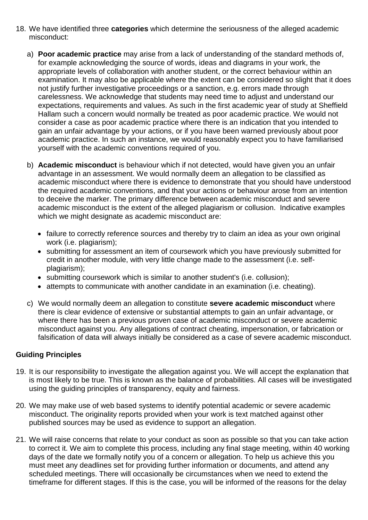- 18. We have identified three **categories** which determine the seriousness of the alleged academic misconduct:
	- a) **Poor academic practice** may arise from a lack of understanding of the standard methods of, for example acknowledging the source of words, ideas and diagrams in your work, the appropriate levels of collaboration with another student, or the correct behaviour within an examination. It may also be applicable where the extent can be considered so slight that it does not justify further investigative proceedings or a sanction, e.g. errors made through carelessness. We acknowledge that students may need time to adjust and understand our expectations, requirements and values. As such in the first academic year of study at Sheffield Hallam such a concern would normally be treated as poor academic practice. We would not consider a case as poor academic practice where there is an indication that you intended to gain an unfair advantage by your actions, or if you have been warned previously about poor academic practice. In such an instance, we would reasonably expect you to have familiarised yourself with the academic conventions required of you.
	- b) **Academic misconduct** is behaviour which if not detected, would have given you an unfair advantage in an assessment. We would normally deem an allegation to be classified as academic misconduct where there is evidence to demonstrate that you should have understood the required academic conventions, and that your actions or behaviour arose from an intention to deceive the marker. The primary difference between academic misconduct and severe academic misconduct is the extent of the alleged plagiarism or collusion. Indicative examples which we might designate as academic misconduct are:
		- failure to correctly reference sources and thereby try to claim an idea as your own original work (i.e. plagiarism);
		- submitting for assessment an item of coursework which you have previously submitted for credit in another module, with very little change made to the assessment (i.e. selfplagiarism);
		- submitting coursework which is similar to another student's (i.e. collusion);
		- attempts to communicate with another candidate in an examination (i.e. cheating).
	- c) We would normally deem an allegation to constitute **severe academic misconduct** where there is clear evidence of extensive or substantial attempts to gain an unfair advantage, or where there has been a previous proven case of academic misconduct or severe academic misconduct against you. Any allegations of contract cheating, impersonation, or fabrication or falsification of data will always initially be considered as a case of severe academic misconduct.

## **Guiding Principles**

- 19. It is our responsibility to investigate the allegation against you. We will accept the explanation that is most likely to be true. This is known as the balance of probabilities. All cases will be investigated using the guiding principles of transparency, equity and fairness.
- 20. We may make use of web based systems to identify potential academic or severe academic misconduct. The originality reports provided when your work is text matched against other published sources may be used as evidence to support an allegation.
- 21. We will raise concerns that relate to your conduct as soon as possible so that you can take action to correct it. We aim to complete this process, including any final stage meeting, within 40 working days of the date we formally notify you of a concern or allegation. To help us achieve this you must meet any deadlines set for providing further information or documents, and attend any scheduled meetings. There will occasionally be circumstances when we need to extend the timeframe for different stages. If this is the case, you will be informed of the reasons for the delay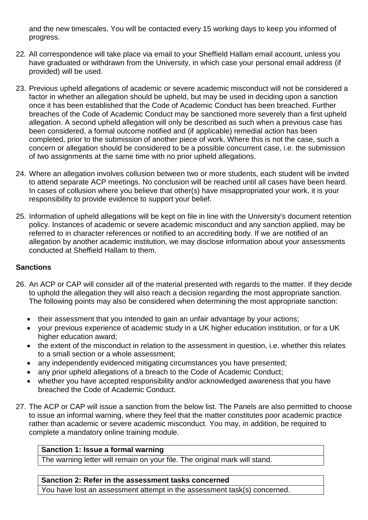and the new timescales. You will be contacted every 15 working days to keep you informed of progress.

- 22. All correspondence will take place via email to your Sheffield Hallam email account, unless you have graduated or withdrawn from the University, in which case your personal email address (if provided) will be used.
- 23. Previous upheld allegations of academic or severe academic misconduct will not be considered a factor in whether an allegation should be upheld, but may be used in deciding upon a sanction once it has been established that the Code of Academic Conduct has been breached. Further breaches of the Code of Academic Conduct may be sanctioned more severely than a first upheld allegation. A second upheld allegation will only be described as such when a previous case has been considered, a formal outcome notified and (if applicable) remedial action has been completed, prior to the submission of another piece of work. Where this is not the case, such a concern or allegation should be considered to be a possible concurrent case, i.e. the submission of two assignments at the same time with no prior upheld allegations.
- 24. Where an allegation involves collusion between two or more students, each student will be invited to attend separate ACP meetings. No conclusion will be reached until all cases have been heard. In cases of collusion where you believe that other(s) have misappropriated your work, it is your responsibility to provide evidence to support your belief.
- 25. Information of upheld allegations will be kept on file in line with the University's document retention policy. Instances of academic or severe academic misconduct and any sanction applied, may be referred to in character references or notified to an accrediting body. If we are notified of an allegation by another academic institution, we may disclose information about your assessments conducted at Sheffield Hallam to them.

## **Sanctions**

- 26. An ACP or CAP will consider all of the material presented with regards to the matter. If they decide to uphold the allegation they will also reach a decision regarding the most appropriate sanction. The following points may also be considered when determining the most appropriate sanction:
	- their assessment that you intended to gain an unfair advantage by your actions;
	- your previous experience of academic study in a UK higher education institution, or for a UK higher education award;
	- the extent of the misconduct in relation to the assessment in question, i.e. whether this relates to a small section or a whole assessment;
	- any independently evidenced mitigating circumstances you have presented;
	- any prior upheld allegations of a breach to the Code of Academic Conduct;
	- whether you have accepted responsibility and/or acknowledged awareness that you have breached the Code of Academic Conduct.
- 27. The ACP or CAP will issue a sanction from the below list. The Panels are also permitted to choose to issue an informal warning, where they feel that the matter constitutes poor academic practice rather than academic or severe academic misconduct. You may, in addition, be required to complete a mandatory online training module.

### **Sanction 1: Issue a formal warning**

The warning letter will remain on your file. The original mark will stand.

### **Sanction 2: Refer in the assessment tasks concerned**

You have lost an assessment attempt in the assessment task(s) concerned.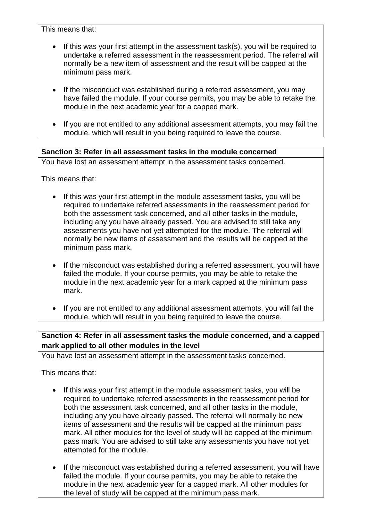This means that:

- If this was your first attempt in the assessment task(s), you will be required to undertake a referred assessment in the reassessment period. The referral will normally be a new item of assessment and the result will be capped at the minimum pass mark.
- If the misconduct was established during a referred assessment, you may have failed the module. If your course permits, you may be able to retake the module in the next academic year for a capped mark.
- If you are not entitled to any additional assessment attempts, you may fail the module, which will result in you being required to leave the course.

## **Sanction 3: Refer in all assessment tasks in the module concerned**

You have lost an assessment attempt in the assessment tasks concerned.

This means that:

- If this was your first attempt in the module assessment tasks, you will be required to undertake referred assessments in the reassessment period for both the assessment task concerned, and all other tasks in the module, including any you have already passed. You are advised to still take any assessments you have not yet attempted for the module. The referral will normally be new items of assessment and the results will be capped at the minimum pass mark.
- If the misconduct was established during a referred assessment, you will have failed the module. If your course permits, you may be able to retake the module in the next academic year for a mark capped at the minimum pass mark.
- If you are not entitled to any additional assessment attempts, you will fail the module, which will result in you being required to leave the course.

**Sanction 4: Refer in all assessment tasks the module concerned, and a capped mark applied to all other modules in the level**

You have lost an assessment attempt in the assessment tasks concerned.

This means that:

- If this was your first attempt in the module assessment tasks, you will be required to undertake referred assessments in the reassessment period for both the assessment task concerned, and all other tasks in the module, including any you have already passed. The referral will normally be new items of assessment and the results will be capped at the minimum pass mark. All other modules for the level of study will be capped at the minimum pass mark. You are advised to still take any assessments you have not yet attempted for the module.
- If the misconduct was established during a referred assessment, you will have failed the module. If your course permits, you may be able to retake the module in the next academic year for a capped mark. All other modules for the level of study will be capped at the minimum pass mark.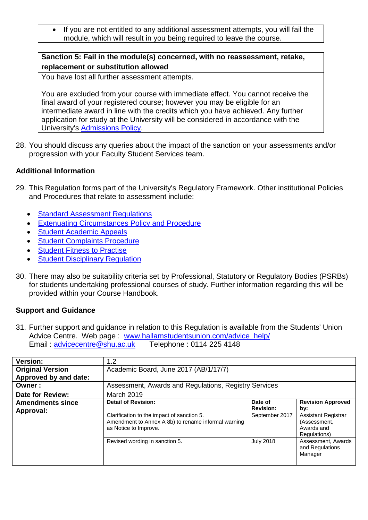• If you are not entitled to any additional assessment attempts, you will fail the module, which will result in you being required to leave the course.

## **Sanction 5: Fail in the module(s) concerned, with no reassessment, retake, replacement or substitution allowed**

You have lost all further assessment attempts.

You are excluded from your course with immediate effect. You cannot receive the final award of your registered course; however you may be eligible for an intermediate award in line with the credits which you have achieved. Any further application for study at the University will be considered in accordance with the University's [Admissions Policy.](https://students.shu.ac.uk/regulations/admissions/index.html)

28. You should discuss any queries about the impact of the sanction on your assessments and/or progression with your Faculty Student Services team.

## **Additional Information**

- 29. This Regulation forms part of the University's Regulatory Framework. Other institutional Policies and Procedures that relate to assessment include:
	- [Standard Assessment Regulations](https://students.shu.ac.uk/regulations/assessment_awards/index.html)
	- [Extenuating Circumstances Policy and Procedure](https://students.shu.ac.uk/regulations/illness/index.html)
	- [Student Academic Appeals](https://students.shu.ac.uk/regulations/appeals_and_complaints/index.html)
	- **[Student Complaints Procedure](https://students.shu.ac.uk/regulations/appeals_and_complaints/index.html)**
	- [Student Fitness to Practise](https://students.shu.ac.uk/regulations/fitness_to_practise/index.html)
	- [Student Disciplinary Regulation](https://students.shu.ac.uk/regulations/conduct_discipline/index.html)
- 30. There may also be suitability criteria set by Professional, Statutory or Regulatory Bodies (PSRBs) for students undertaking professional courses of study. Further information regarding this will be provided within your Course Handbook.

## **Support and Guidance**

31. Further support and guidance in relation to this Regulation is available from the Students' Union Advice Centre. Web page: [www.hallamstudentsunion.com/advice\\_help/](http://www.hallamstudentsunion.com/advice_help/) Email : [advicecentre@shu.ac.uk](mailto:advicecentre@shu.ac.uk) Telephone : 0114 225 4148

| <b>Version:</b>                      | 1.2                                                                                                                        |                             |                                                                          |
|--------------------------------------|----------------------------------------------------------------------------------------------------------------------------|-----------------------------|--------------------------------------------------------------------------|
| <b>Original Version</b>              | Academic Board, June 2017 (AB/1/17/7)                                                                                      |                             |                                                                          |
| Approved by and date:                |                                                                                                                            |                             |                                                                          |
| Owner:                               | Assessment, Awards and Regulations, Registry Services                                                                      |                             |                                                                          |
| <b>Date for Review:</b>              | <b>March 2019</b>                                                                                                          |                             |                                                                          |
| <b>Amendments since</b><br>Approval: | <b>Detail of Revision:</b>                                                                                                 | Date of<br><b>Revision:</b> | <b>Revision Approved</b><br>by:                                          |
|                                      | Clarification to the impact of sanction 5.<br>Amendment to Annex A 8b) to rename informal warning<br>as Notice to Improve. | September 2017              | <b>Assistant Registrar</b><br>(Assessment,<br>Awards and<br>Regulations) |
|                                      | Revised wording in sanction 5.                                                                                             | <b>July 2018</b>            | Assessment, Awards<br>and Regulations<br>Manager                         |
|                                      |                                                                                                                            |                             |                                                                          |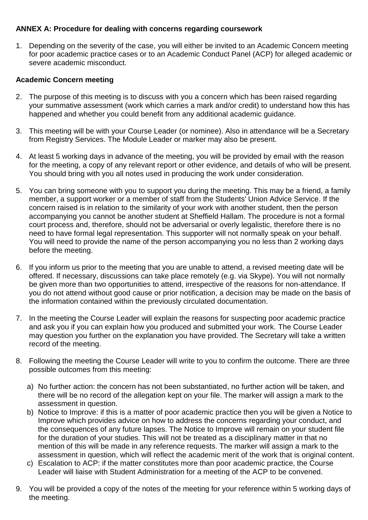# **ANNEX A: Procedure for dealing with concerns regarding coursework**

1. Depending on the severity of the case, you will either be invited to an Academic Concern meeting for poor academic practice cases or to an Academic Conduct Panel (ACP) for alleged academic or severe academic misconduct.

# **Academic Concern meeting**

- 2. The purpose of this meeting is to discuss with you a concern which has been raised regarding your summative assessment (work which carries a mark and/or credit) to understand how this has happened and whether you could benefit from any additional academic guidance.
- 3. This meeting will be with your Course Leader (or nominee). Also in attendance will be a Secretary from Registry Services. The Module Leader or marker may also be present.
- 4. At least 5 working days in advance of the meeting, you will be provided by email with the reason for the meeting, a copy of any relevant report or other evidence, and details of who will be present. You should bring with you all notes used in producing the work under consideration.
- 5. You can bring someone with you to support you during the meeting. This may be a friend, a family member, a support worker or a member of staff from the Students' Union Advice Service. If the concern raised is in relation to the similarity of your work with another student, then the person accompanying you cannot be another student at Sheffield Hallam. The procedure is not a formal court process and, therefore, should not be adversarial or overly legalistic, therefore there is no need to have formal legal representation. This supporter will not normally speak on your behalf. You will need to provide the name of the person accompanying you no less than 2 working days before the meeting.
- 6. If you inform us prior to the meeting that you are unable to attend, a revised meeting date will be offered. If necessary, discussions can take place remotely (e.g. via Skype). You will not normally be given more than two opportunities to attend, irrespective of the reasons for non-attendance. If you do not attend without good cause or prior notification, a decision may be made on the basis of the information contained within the previously circulated documentation.
- 7. In the meeting the Course Leader will explain the reasons for suspecting poor academic practice and ask you if you can explain how you produced and submitted your work. The Course Leader may question you further on the explanation you have provided. The Secretary will take a written record of the meeting.
- 8. Following the meeting the Course Leader will write to you to confirm the outcome. There are three possible outcomes from this meeting:
	- a) No further action: the concern has not been substantiated, no further action will be taken, and there will be no record of the allegation kept on your file. The marker will assign a mark to the assessment in question.
	- b) Notice to Improve: if this is a matter of poor academic practice then you will be given a Notice to Improve which provides advice on how to address the concerns regarding your conduct, and the consequences of any future lapses. The Notice to Improve will remain on your student file for the duration of your studies. This will not be treated as a disciplinary matter in that no mention of this will be made in any reference requests. The marker will assign a mark to the assessment in question, which will reflect the academic merit of the work that is original content.
	- c) Escalation to ACP: if the matter constitutes more than poor academic practice, the Course Leader will liaise with Student Administration for a meeting of the ACP to be convened.
- 9. You will be provided a copy of the notes of the meeting for your reference within 5 working days of the meeting.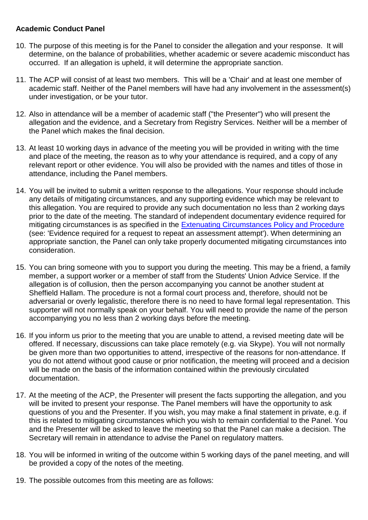## **Academic Conduct Panel**

- 10. The purpose of this meeting is for the Panel to consider the allegation and your response. It will determine, on the balance of probabilities, whether academic or severe academic misconduct has occurred. If an allegation is upheld, it will determine the appropriate sanction.
- 11. The ACP will consist of at least two members. This will be a 'Chair' and at least one member of academic staff. Neither of the Panel members will have had any involvement in the assessment(s) under investigation, or be your tutor.
- 12. Also in attendance will be a member of academic staff ("the Presenter") who will present the allegation and the evidence, and a Secretary from Registry Services. Neither will be a member of the Panel which makes the final decision.
- 13. At least 10 working days in advance of the meeting you will be provided in writing with the time and place of the meeting, the reason as to why your attendance is required, and a copy of any relevant report or other evidence. You will also be provided with the names and titles of those in attendance, including the Panel members.
- 14. You will be invited to submit a written response to the allegations. Your response should include any details of mitigating circumstances, and any supporting evidence which may be relevant to this allegation. You are required to provide any such documentation no less than 2 working days prior to the date of the meeting. The standard of independent documentary evidence required for mitigating circumstances is as specified in the [Extenuating Circumstances Policy and Procedure](https://students.shu.ac.uk/regulations/illness/index.html) (see: 'Evidence required for a request to repeat an assessment attempt'). When determining an appropriate sanction, the Panel can only take properly documented mitigating circumstances into consideration.
- 15. You can bring someone with you to support you during the meeting. This may be a friend, a family member, a support worker or a member of staff from the Students' Union Advice Service. If the allegation is of collusion, then the person accompanying you cannot be another student at Sheffield Hallam. The procedure is not a formal court process and, therefore, should not be adversarial or overly legalistic, therefore there is no need to have formal legal representation. This supporter will not normally speak on your behalf. You will need to provide the name of the person accompanying you no less than 2 working days before the meeting.
- 16. If you inform us prior to the meeting that you are unable to attend, a revised meeting date will be offered. If necessary, discussions can take place remotely (e.g. via Skype). You will not normally be given more than two opportunities to attend, irrespective of the reasons for non-attendance. If you do not attend without good cause or prior notification, the meeting will proceed and a decision will be made on the basis of the information contained within the previously circulated documentation.
- 17. At the meeting of the ACP, the Presenter will present the facts supporting the allegation, and you will be invited to present your response. The Panel members will have the opportunity to ask questions of you and the Presenter. If you wish, you may make a final statement in private, e.g. if this is related to mitigating circumstances which you wish to remain confidential to the Panel. You and the Presenter will be asked to leave the meeting so that the Panel can make a decision. The Secretary will remain in attendance to advise the Panel on regulatory matters.
- 18. You will be informed in writing of the outcome within 5 working days of the panel meeting, and will be provided a copy of the notes of the meeting.
- 19. The possible outcomes from this meeting are as follows: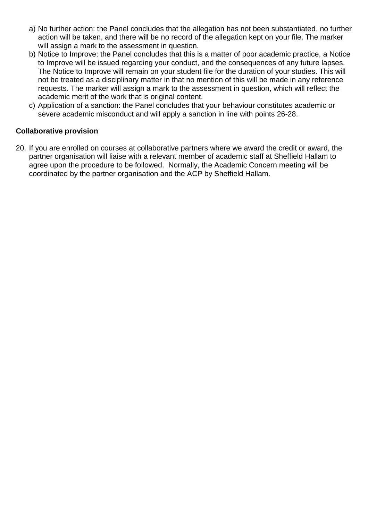- a) No further action: the Panel concludes that the allegation has not been substantiated, no further action will be taken, and there will be no record of the allegation kept on your file. The marker will assign a mark to the assessment in question.
- b) Notice to Improve: the Panel concludes that this is a matter of poor academic practice, a Notice to Improve will be issued regarding your conduct, and the consequences of any future lapses. The Notice to Improve will remain on your student file for the duration of your studies. This will not be treated as a disciplinary matter in that no mention of this will be made in any reference requests. The marker will assign a mark to the assessment in question, which will reflect the academic merit of the work that is original content.
- c) Application of a sanction: the Panel concludes that your behaviour constitutes academic or severe academic misconduct and will apply a sanction in line with points 26-28.

## **Collaborative provision**

20. If you are enrolled on courses at collaborative partners where we award the credit or award, the partner organisation will liaise with a relevant member of academic staff at Sheffield Hallam to agree upon the procedure to be followed. Normally, the Academic Concern meeting will be coordinated by the partner organisation and the ACP by Sheffield Hallam.